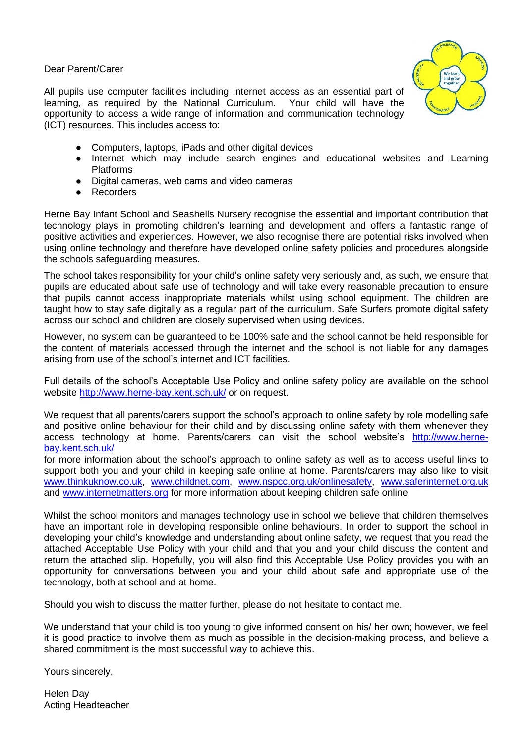Dear Parent/Carer

All pupils use computer facilities including Internet access as an essential part of learning, as required by the National Curriculum. Your child will have the opportunity to access a wide range of information and communication technology (ICT) resources. This includes access to:

- Computers, laptops, iPads and other digital devices
- Internet which may include search engines and educational websites and Learning Platforms
- Digital cameras, web cams and video cameras
- Recorders

Herne Bay Infant School and Seashells Nursery recognise the essential and important contribution that technology plays in promoting children's learning and development and offers a fantastic range of positive activities and experiences. However, we also recognise there are potential risks involved when using online technology and therefore have developed online safety policies and procedures alongside the schools safeguarding measures.

The school takes responsibility for your child's online safety very seriously and, as such, we ensure that pupils are educated about safe use of technology and will take every reasonable precaution to ensure that pupils cannot access inappropriate materials whilst using school equipment. The children are taught how to stay safe digitally as a regular part of the curriculum. Safe Surfers promote digital safety across our school and children are closely supervised when using devices.

However, no system can be guaranteed to be 100% safe and the school cannot be held responsible for the content of materials accessed through the internet and the school is not liable for any damages arising from use of the school's internet and ICT facilities.

Full details of the school's Acceptable Use Policy and online safety policy are available on the school website<http://www.herne-bay.kent.sch.uk/> or on request.

We request that all parents/carers support the school's approach to online safety by role modelling safe and positive online behaviour for their child and by discussing online safety with them whenever they access technology at home. Parents/carers can visit the school website's [http://www.herne](http://www.herne-bay.kent.sch.uk/)[bay.kent.sch.uk/](http://www.herne-bay.kent.sch.uk/)

for more information about the school's approach to online safety as well as to access useful links to support both you and your child in keeping safe online at home. Parents/carers may also like to visit [www.thinkuknow.co.uk,](http://www.thinkuknow.co.uk/) [www.childnet.com,](http://www.childnet.com/) [www.nspcc.org.uk/onlinesafety,](http://www.nspcc.org.uk/onlinesafety) [www.saferinternet.org.uk](http://www.saferinternet.org.uk/) and [www.internetmatters.org](http://www.internetmatters.org/) for more information about keeping children safe online

Whilst the school monitors and manages technology use in school we believe that children themselves have an important role in developing responsible online behaviours. In order to support the school in developing your child's knowledge and understanding about online safety, we request that you read the attached Acceptable Use Policy with your child and that you and your child discuss the content and return the attached slip. Hopefully, you will also find this Acceptable Use Policy provides you with an opportunity for conversations between you and your child about safe and appropriate use of the technology, both at school and at home.

Should you wish to discuss the matter further, please do not hesitate to contact me.

We understand that your child is too young to give informed consent on his/ her own; however, we feel it is good practice to involve them as much as possible in the decision-making process, and believe a shared commitment is the most successful way to achieve this.

Yours sincerely,

Helen Day Acting Headteacher